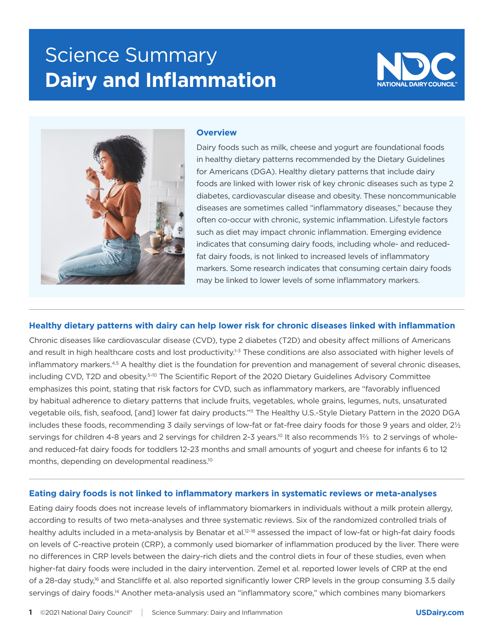# **Science Summary Dairy and Inflammation**





#### **Overview**

Dairy foods such as milk, cheese and yogurt are foundational foods in healthy dietary patterns recommended by the Dietary Guidelines for Americans (DGA). Healthy dietary patterns that include dairy foods are linked with lower risk of key chronic diseases such as type 2 diabetes, cardiovascular disease and obesity. These noncommunicable diseases are sometimes called "inflammatory diseases," because they often co-occur with chronic, systemic inflammation. Lifestyle factors such as diet may impact chronic inflammation. Emerging evidence indicates that consuming dairy foods, including whole- and reducedfat dairy foods, is not linked to increased levels of inflammatory markers. Some research indicates that consuming certain dairy foods may be linked to lower levels of some inflammatory markers.

### **Healthy dietary patterns with dairy can help lower risk for chronic diseases linked with inflammation**

Chronic diseases like cardiovascular disease (CVD), type 2 diabetes (T2D) and obesity affect millions of Americans and result in high healthcare costs and lost productivity.<sup>1-3</sup> These conditions are also associated with higher levels of inflammatory markers.4,5 A healthy diet is the foundation for prevention and management of several chronic diseases, including CVD, T2D and obesity.5–10 The Scientific Report of the 2020 Dietary Guidelines Advisory Committee emphasizes this point, stating that risk factors for CVD, such as inflammatory markers, are "favorably influenced by habitual adherence to dietary patterns that include fruits, vegetables, whole grains, legumes, nuts, unsaturated vegetable oils, fish, seafood, [and] lower fat dairy products."11 The Healthy U.S.-Style Dietary Pattern in the 2020 DGA includes these foods, recommending 3 daily servings of low-fat or fat-free dairy foods for those 9 years and older, 2½ servings for children 4-8 years and 2 servings for children 2-3 years.<sup>10</sup> It also recommends 1⅔ to 2 servings of wholeand reduced-fat dairy foods for toddlers 12-23 months and small amounts of yogurt and cheese for infants 6 to 12 months, depending on developmental readiness.<sup>10</sup>

#### **Eating dairy foods is not linked to inflammatory markers in systematic reviews or meta-analyses**

Eating dairy foods does not increase levels of inflammatory biomarkers in individuals without a milk protein allergy, according to results of two meta-analyses and three systematic reviews. Six of the randomized controlled trials of healthy adults included in a meta-analysis by Benatar et al.<sup>12–18</sup> assessed the impact of low-fat or high-fat dairy foods on levels of C-reactive protein (CRP), a commonly used biomarker of inflammation produced by the liver. There were no differences in CRP levels between the dairy-rich diets and the control diets in four of these studies, even when higher-fat dairy foods were included in the dairy intervention. Zemel et al. reported lower levels of CRP at the end of a 28-day study,<sup>16</sup> and Stancliffe et al. also reported significantly lower CRP levels in the group consuming 3.5 daily servings of dairy foods.<sup>14</sup> Another meta-analysis used an "inflammatory score," which combines many biomarkers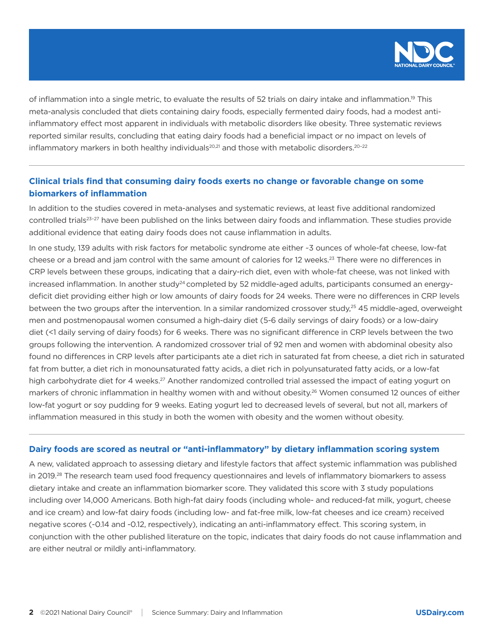

of inflammation into a single metric, to evaluate the results of 52 trials on dairy intake and inflammation.19 This meta-analysis concluded that diets containing dairy foods, especially fermented dairy foods, had a modest antiinflammatory effect most apparent in individuals with metabolic disorders like obesity. Three systematic reviews reported similar results, concluding that eating dairy foods had a beneficial impact or no impact on levels of inflammatory markers in both healthy individuals $^{20,21}$  and those with metabolic disorders.<sup>20-22</sup>

## **Clinical trials find that consuming dairy foods exerts no change or favorable change on some biomarkers of inflammation**

In addition to the studies covered in meta-analyses and systematic reviews, at least five additional randomized controlled trials<sup>23-27</sup> have been published on the links between dairy foods and inflammation. These studies provide additional evidence that eating dairy foods does not cause inflammation in adults.

In one study, 139 adults with risk factors for metabolic syndrome ate either ~3 ounces of whole-fat cheese, low-fat cheese or a bread and jam control with the same amount of calories for 12 weeks.23 There were no differences in CRP levels between these groups, indicating that a dairy-rich diet, even with whole-fat cheese, was not linked with increased inflammation. In another study<sup>24</sup> completed by 52 middle-aged adults, participants consumed an energydeficit diet providing either high or low amounts of dairy foods for 24 weeks. There were no differences in CRP levels between the two groups after the intervention. In a similar randomized crossover study,<sup>25</sup> 45 middle-aged, overweight men and postmenopausal women consumed a high-dairy diet (5-6 daily servings of dairy foods) or a low-dairy diet (<1 daily serving of dairy foods) for 6 weeks. There was no significant difference in CRP levels between the two groups following the intervention. A randomized crossover trial of 92 men and women with abdominal obesity also found no differences in CRP levels after participants ate a diet rich in saturated fat from cheese, a diet rich in saturated fat from butter, a diet rich in monounsaturated fatty acids, a diet rich in polyunsaturated fatty acids, or a low-fat high carbohydrate diet for 4 weeks.<sup>27</sup> Another randomized controlled trial assessed the impact of eating yogurt on markers of chronic inflammation in healthy women with and without obesity.<sup>26</sup> Women consumed 12 ounces of either low-fat yogurt or soy pudding for 9 weeks. Eating yogurt led to decreased levels of several, but not all, markers of inflammation measured in this study in both the women with obesity and the women without obesity.

#### **Dairy foods are scored as neutral or "anti-inflammatory" by dietary inflammation scoring system**

A new, validated approach to assessing dietary and lifestyle factors that affect systemic inflammation was published in 2019.<sup>28</sup> The research team used food frequency questionnaires and levels of inflammatory biomarkers to assess dietary intake and create an inflammation biomarker score. They validated this score with 3 study populations including over 14,000 Americans. Both high-fat dairy foods (including whole- and reduced-fat milk, yogurt, cheese and ice cream) and low-fat dairy foods (including low- and fat-free milk, low-fat cheeses and ice cream) received negative scores (-0.14 and -0.12, respectively), indicating an anti-inflammatory effect. This scoring system, in conjunction with the other published literature on the topic, indicates that dairy foods do not cause inflammation and are either neutral or mildly anti-inflammatory.